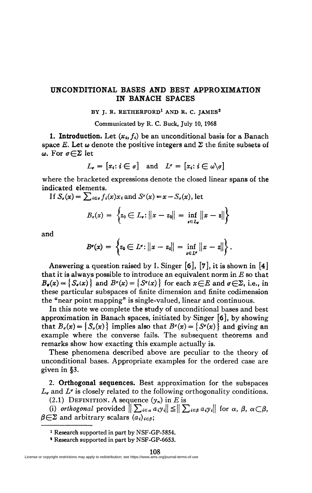## **UNCONDITIONAL BASES AND BEST APPROXIMATION IN BANACH SPACES**

## **BY J. R. RETHERFORD<sup>1</sup> AND R. C. JAMES<sup>2</sup>**

Communicated by R. C. Buck, July 10, 1968

**1. Introduction.** Let  $(x_i, f_i)$  be an unconditional basis for a Banach space *E*. Let  $\omega$  denote the positive integers and  $\Sigma$  the finite subsets of  $\omega$ . For  $\sigma \in \Sigma$  let

$$
L_{\sigma} = [x_i : i \in \sigma] \text{ and } L^{\sigma} = [x_i : i \in \omega \backslash \sigma]
$$

where the bracketed expressions denote the closed linear spans of the indicated elements.

If  $S_{\sigma}(x) = \sum_{i \in \sigma} f_i(x) x_i$  and  $S^{\sigma}(x) = x - S_{\sigma}(x)$ , let

$$
B_{\sigma}(x) = \left\{ z_0 \in L_{\sigma}: ||x - z_0|| = \inf_{z \in L_{\sigma}} ||x - z|| \right\}
$$

and

$$
B^{\sigma}(x) = \left\{ z_0 \in L^{\sigma} : ||x - z_0|| = \inf_{z \in L^{\sigma}} ||x - z|| \right\}.
$$

Answering a question raised by L Singer **[ô],** [7], it is shown in [4] that it is always possible to introduce an equivalent norm in *E* so that  $B_{\sigma}(x) = \{S_{\sigma}(x)\}\$ and  $B^{\sigma}(x) = \{S^{\sigma}(x)\}\$ for each  $x \in E$  and  $\sigma \in \Sigma$ , i.e., in these particular subspaces of finite dimension and finite codimension the "near point mapping" is single-valued, linear and continuous.

In this note we complete the study of unconditional bases and best approximation in Banach spaces, initiated by Singer [ô], by showing that  $B_{\sigma}(x) = \{S_{\sigma}(x)\}\$ implies also that  $B^{\sigma}(x) = \{S^{\sigma}(x)\}\$ and giving an example where the converse fails. The subsequent theorems and remarks show how exacting this example actually is.

These phenomena described above are peculiar to the theory of unconditional bases. Appropriate examples for the ordered case are given in §3.

2. **Orthogonal sequences.** Best approximation for the subspaces  $L_{\sigma}$  and  $L^{\sigma}$  is closely related to the following orthogonality conditions.

(2.1) DEFINITION. A sequence  $(y_n)$  in E is

(i) *orthogonal* provided  $\|\sum_{i \in \alpha} a_i y_i \| \leq \|\sum_{i \in \beta} a_i y_i \|$  for  $\alpha, \beta, \alpha \in \beta$ ,  $\beta \in \Sigma$  and arbitrary scalars  $(a_i)_{i \in \beta}$ .

<sup>1</sup> Research supported in part by NSF-GP-5854.

<sup>2</sup> Research supported in part by NSF-GP-6653.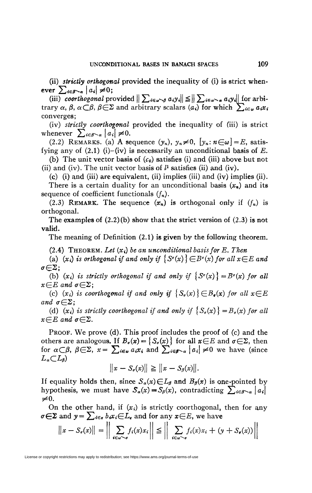(ii) *strictly orthogonal* provided the inequality of (i) is strict whenever  $\sum_{i \in \beta \setminus \alpha} |a_i| \neq 0;$ 

(iii) coorthogonal provided  $\|\sum_{i\in\omega\setminus\emptyset}a_iy_i\| \leq \|\sum_{i\in\omega\setminus\alpha}a_iy_i\|$  for arbitrary  $\alpha$ ,  $\beta$ ,  $\alpha \subset \beta$ ,  $\beta \in \Sigma$  and arbitrary scalars  $(a_i)$  for which  $\sum_{i \in \omega} a_i x_i$ converges;

(iv) *strictly coorthogonal* provided the inequality of (iii) is strict whenever  $\sum_{i \in \beta \setminus \alpha} |a_i| \neq 0$ .

(2.2) REMARKS. (a) A sequence  $(y_n)$ ,  $y_n \neq 0$ ,  $[y_n : n \in \omega]=E$ , satisfying any of  $(2,1)$  (i)–(iv) is necessarily an unconditional basis of E.

(b) The unit vector basis of  $(c_0)$  satisfies (i) and (iii) above but not (ii) and (iv). The unit vector basis of  $l^1$  satisfies (ii) and (iv).

(e) (i) and (iii) are equivalent, (ii) implies (iii) and (iv) implies (ii).

There is a certain duality for an unconditional basis *(xn)* and its sequence of coefficient functionals *(fn).* 

(2.3) REMARK. The sequence  $(x_n)$  is orthogonal only if  $(f_n)$  is orthogonal.

The examples of  $(2.2)(b)$  show that the strict version of  $(2.3)$  is not valid.

The meaning of Definition (2.1) is given by the following theorem.

 $(2.4)$  THEOREM. Let  $(x_i)$  be an unconditional basis for E. Then

(a)  $(x_i)$  is orthogonal if and only if  $\{S^{\sigma}(x)\}\n\in B^{\sigma}(x)$  for all  $x \in E$  and  $\sigma{\in}\Sigma$ ;

(b)  $(x_i)$  is strictly orthogonal if and only if  $\{S^{\sigma}(x)\} = B^{\sigma}(x)$  for all  $x \in E$  and  $\sigma \in \Sigma$ ;

(c)  $(x_i)$  is coorthogonal if and only if  $\{S_g(x)\}\in B_g(x)$  for all  $x\in E$ *and*  $\sigma \in \Sigma$ ;

(d)  $(x_i)$  is strictly coorthogonal if and only if  $\{S_\sigma(x)\}=B_\sigma(x)$  for all  $x \in E$  and  $\sigma \in \Sigma$ .

PROOF. We prove (d). This proof includes the proof of (c) and the others are analogous. If  $B_{\sigma}(x) = \{S_{\sigma}(x)\}\)$  for all  $x \in E$  and  $\sigma \in \Sigma$ , then for  $\alpha \subset \beta$ ,  $\beta \in \Sigma$ ,  $x = \sum_{i \in \omega} a_i x_i$  and  $\sum_{i \in \beta \setminus \alpha} |a_i| \neq 0$  we have (since  $L_a \subset L_b$ 

$$
||x - S_{\sigma}(x)|| \geq ||x - S_{\beta}(x)||.
$$

If equality holds then, since  $S_{\alpha}(x) \in L_{\beta}$  and  $B_{\beta}(x)$  is one-pointed by hypothesis, we must have  $S_{\alpha}(x) = S_{\beta}(x)$ , contradicting  $\sum_{i \in \beta \setminus \alpha} |a_i|$  $\neq 0$ .

On the other hand, if  $(x_i)$  is strictly coorthogonal, then for any  $\sigma \in \Sigma$  and  $y = \sum_{i \in \sigma} b_i x_i \in L_{\sigma}$  and for any  $x \in E$ , we have

$$
\|x - S_{\sigma}(x)\| = \left\|\sum_{i \in \omega \setminus \sigma} f_i(x)x_i\right\| \le \left\|\sum_{i \in \omega \setminus \sigma} f_i(x)x_i + (y + S_{\sigma}(x))\right\|
$$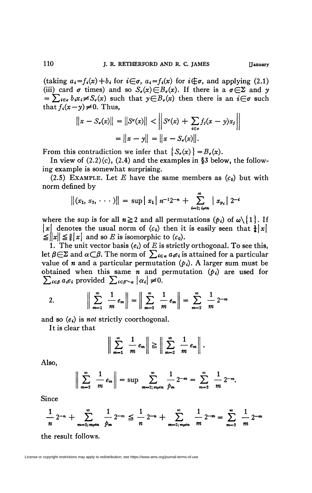(taking  $a_i = f_i(x) + b_i$  for  $i \in \sigma$ ,  $a_i = f_i(x)$  for  $i \notin \sigma$ , and applying (2.1) (iii) card  $\sigma$  times) and so  $S_{\sigma}(x) \in B_{\sigma}(x)$ . If there is a  $\sigma \in \Sigma$  and y  $=\sum_{i\in\sigma}b_ix_i\neq S_{\sigma}(x)$  such that  $y\in B_{\sigma}(x)$  then there is an  $i\in\sigma$  such that  $f_i(x-y) \neq 0$ . Thus,

$$
||x - S_{\sigma}(x)|| = ||S^{\sigma}(x)|| < ||S^{\sigma}(x) + \sum_{i \in \sigma} f_{i}(x - y)x_{i}||
$$
  
=  $||x - y|| = ||x - S_{\sigma}(x)||.$ 

From this contradiction we infer that  $\{S_{\sigma}(x)\} = B_{\sigma}(x)$ .

In view of  $(2.2)(c)$ ,  $(2.4)$  and the examples in §3 below, the following example is somewhat surprising.

(2.5) EXAMPLE. Let E have the same members as  $(c_0)$  but with norm defined by

$$
||(x_1, x_2, \cdots)|| = \sup |x_1| \cdot n^{-1}2^{-n} + \sum_{i=2}^{\infty} |x_{p_i}| \cdot 2^{-i}
$$

where the sup is for all  $n \ge 2$  and all permutations  $(p_i)$  of  $\omega \setminus \{1\}$ . If  $|x|$  denotes the usual norm of  $(c_0)$  then it is easily seen that  $\frac{1}{4}|x|$  $\leq$   $\|x\| \leq \frac{3}{8} |x|$  and so *E* is isomorphic to  $(c_0)$ .

1. The unit vector basis  $(e_i)$  of  $E$  is strictly orthogonal. To see this, let  $\beta \in \Sigma$  and  $\alpha \subset \beta$ . The norm of  $\sum_{i \in \alpha} a_i e_i$  is attained for a particular value of *n* and a particular permutation  $(p_i)$ . A larger sum must be obtained when this same *n* and permutation  $(p_i)$  are used for  $\sum_{i \in \beta} a_i e_i$  provided  $\sum_{i \in \beta \setminus \alpha} |\alpha_i| \neq 0$ .

2. 
$$
\left\| \sum_{m=1}^{\infty} \frac{1}{m} e_m \right\| = \left\| \sum_{m=2}^{\infty} \frac{1}{m} e_m \right\| = \sum_{m=2}^{\infty} \frac{1}{m} 2^{-m}
$$

and so  $(e_i)$  is *not* strictly coorthogonal.

It is clear that

$$
\bigg\|\sum_{m=1}^{\infty}\frac{1}{m}e_m\bigg\|\geq \bigg\|\sum_{m=2}^{\infty}\frac{1}{m}e_m\bigg\|.
$$

Also,

$$
\left\| \sum_{m=2}^{\infty} \frac{1}{m} e_m \right\| = \sup \sum_{m=2; m \neq n}^{\infty} \frac{1}{p_m} 2^{-m} = \sum_{m=2}^{\infty} \frac{1}{m} 2^{-m}.
$$

Since

$$
\frac{1}{n} 2^{-n} + \sum_{m=2; m \neq n}^{\infty} \frac{1}{p^m} 2^{-m} \leq \frac{1}{n} 2^{-n} + \sum_{m=2; m \neq n}^{\infty} \frac{1}{m} 2^{-m} = \sum_{m=2}^{\infty} \frac{1}{m} 2^{-m}
$$

the result follows.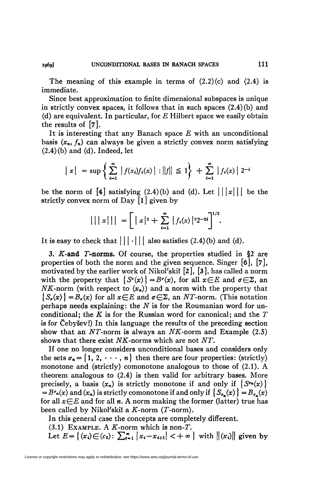The meaning of this example in terms of  $(2.2)(c)$  and  $(2.4)$  is immediate.

Since best approximation to finite dimensional subspaces is unique in strictly convex spaces, it follows that in such spaces (2.4) (b) and (d) are equivalent. In particular, for *E* Hubert space we easily obtain the results of [7].

It is interesting that any Banach space *E* with an unconditional basis  $(x_n, f_n)$  can always be given a strictly convex norm satisfying  $(2.4)(b)$  and  $(d)$ . Indeed, let

$$
|x|
$$
 = sup  $\left\{ \sum_{i=1}^{\infty} |f(x_i)f_i(x)| : ||f|| \leq 1 \right\} + \sum_{i=1}^{\infty} |f_i(x)| 2^{-i}$ 

be the norm of  $\begin{bmatrix} 4 \end{bmatrix}$  satisfying (2.4)(b) and (d). Let  $||x|||$  be the strictly convex norm of Day  $[1]$  given by

$$
|||x||| = \left[ |x|^2 + \sum_{i=1}^{\infty} |f_i(x)|^{2} 2^{-2i} \right]^{1/2}.
$$

**htl**<br> **c** 2 **2** also satisfies (2 **4**)(b) and It is easy to check that  $\left| \cdot \right|$   $\left| \cdot \right|$  and satisfies  $\left\langle \cdot \right|$ ,  $\left\langle \cdot \right|$  and  $\left\langle \cdot \right|$ ,

**3.** *K-and* **T-norms.** Of course, the properties studied in §2 are properties of both the norm and the given sequence. Singer [ó], [7], motivated by the earlier work of Nikol'skiï [2], [3], has called a norm with the property that  $\{S^{\sigma}(x)\} = B^{\sigma}(x)$ , for all  $x \in E$  and  $\sigma \in \Sigma$ , an *NK*-norm (with respect to  $(x_n)$ ) and a norm with the property that  ${S<sub>a</sub>(x)} = B<sub>a</sub>(x)$  for all  $x \in E$  and  $\sigma \in \Sigma$ , an NT-norm. (This notation perhaps needs explaining: the *N* is for the Roumanian word for unconditional; the *K* is for the Russian word for canonical; and the *T*  is for Cebysev!) In this language the results of the preceding section show that an  $NT$ -norm is always an  $NK$ -norm and Example  $(2.5)$ shows that there exist NK-norms which are not NT.

If one no longer considers unconditional bases and considers only the sets  $\sigma_n = \{1, 2, \dots, n\}$  then there are four properties: (strictly) monotone and (strictly) comonotone analogous to those of (2.1). A theorem analogous to (2.4) is then valid for arbitrary bases. More precisely, a basis  $(x_n)$  is strictly monotone if and only if  $\{S^{\sigma n}(x)\}$  $B^{\sigma}(x)$  and  $(x_n)$  is strictly comonotone if and only if  $\{S_{\sigma}(x)\}=B_{\sigma}(x)$ for all  $x \in E$  and for all n. A norm making the former (latter) true has been called by Nikol'skiï a  $K$ -norm (T-norm).

In this general case the concepts are completely different.

 $(3.1)$  EXAMPLE. A  $K$ -norm which is non-T.

Let  $E = \{(x_i) \in (c_0): \sum_{i=1}^{\infty} |x_i - x_{i+1}| < +\infty \}$  with  $\|(x_i)\|$  given by